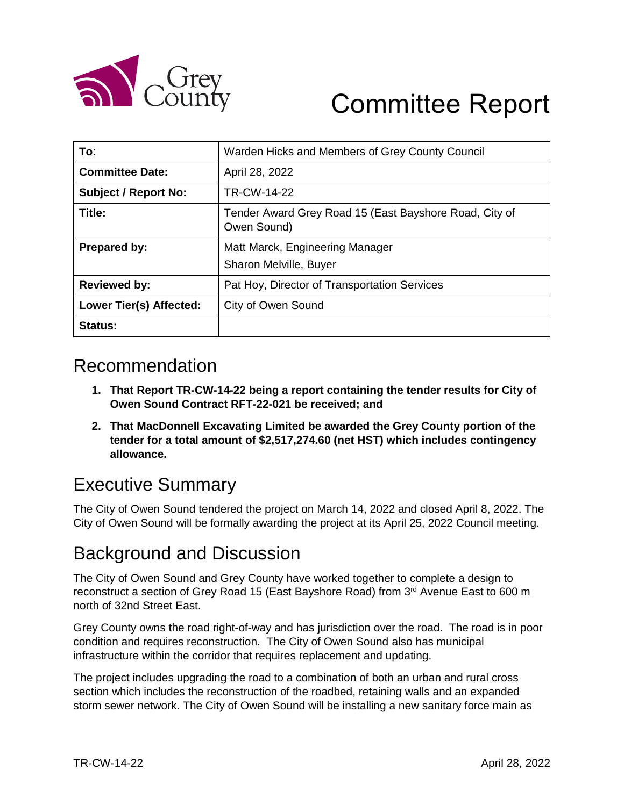

# Committee Report

| To∶                            | Warden Hicks and Members of Grey County Council                       |
|--------------------------------|-----------------------------------------------------------------------|
| <b>Committee Date:</b>         | April 28, 2022                                                        |
| <b>Subject / Report No:</b>    | TR-CW-14-22                                                           |
| Title:                         | Tender Award Grey Road 15 (East Bayshore Road, City of<br>Owen Sound) |
| <b>Prepared by:</b>            | Matt Marck, Engineering Manager<br>Sharon Melville, Buyer             |
| <b>Reviewed by:</b>            | Pat Hoy, Director of Transportation Services                          |
| <b>Lower Tier(s) Affected:</b> | City of Owen Sound                                                    |
| Status:                        |                                                                       |

## Recommendation

- **1. That Report TR-CW-14-22 being a report containing the tender results for City of Owen Sound Contract RFT-22-021 be received; and**
- **2. That MacDonnell Excavating Limited be awarded the Grey County portion of the tender for a total amount of \$2,517,274.60 (net HST) which includes contingency allowance.**

# Executive Summary

The City of Owen Sound tendered the project on March 14, 2022 and closed April 8, 2022. The City of Owen Sound will be formally awarding the project at its April 25, 2022 Council meeting.

# Background and Discussion

The City of Owen Sound and Grey County have worked together to complete a design to reconstruct a section of Grey Road 15 (East Bayshore Road) from 3<sup>rd</sup> Avenue East to 600 m north of 32nd Street East.

Grey County owns the road right-of-way and has jurisdiction over the road. The road is in poor condition and requires reconstruction. The City of Owen Sound also has municipal infrastructure within the corridor that requires replacement and updating.

The project includes upgrading the road to a combination of both an urban and rural cross section which includes the reconstruction of the roadbed, retaining walls and an expanded storm sewer network. The City of Owen Sound will be installing a new sanitary force main as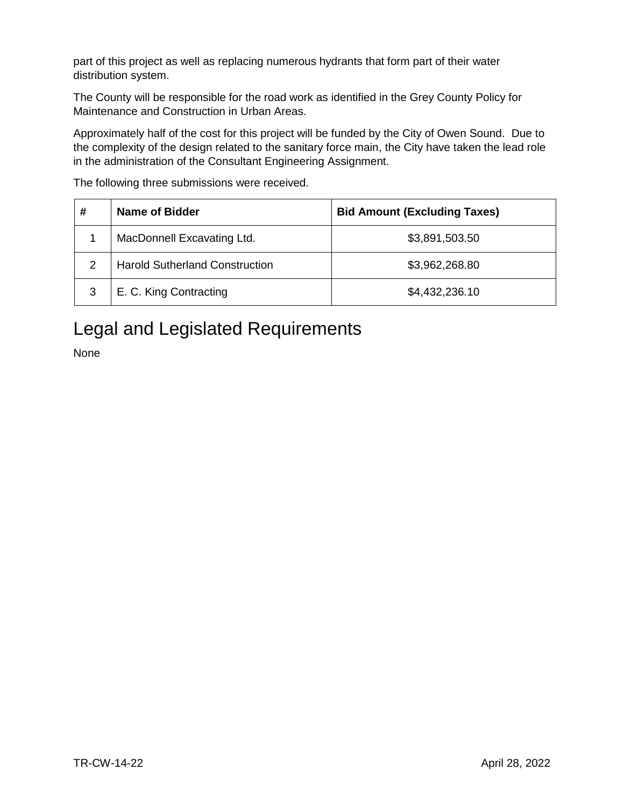part of this project as well as replacing numerous hydrants that form part of their water distribution system.

The County will be responsible for the road work as identified in the Grey County Policy for Maintenance and Construction in Urban Areas.

Approximately half of the cost for this project will be funded by the City of Owen Sound. Due to the complexity of the design related to the sanitary force main, the City have taken the lead role in the administration of the Consultant Engineering Assignment.

| # | Name of Bidder                        | <b>Bid Amount (Excluding Taxes)</b> |
|---|---------------------------------------|-------------------------------------|
|   | MacDonnell Excavating Ltd.            | \$3,891,503.50                      |
| 2 | <b>Harold Sutherland Construction</b> | \$3,962,268.80                      |
| 3 | E. C. King Contracting                | \$4,432,236.10                      |

The following three submissions were received.

# Legal and Legislated Requirements

None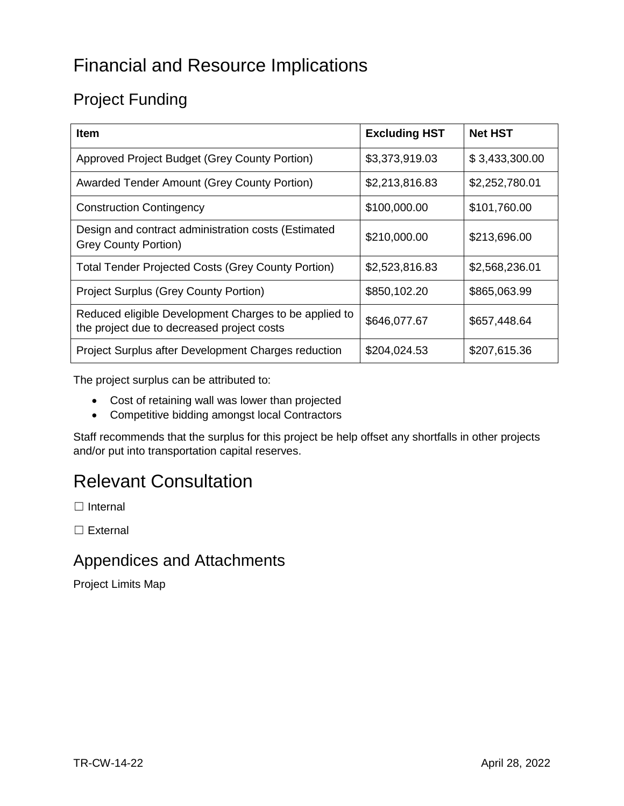# Financial and Resource Implications

# Project Funding

| <b>Item</b>                                                                                         | <b>Excluding HST</b> | <b>Net HST</b> |
|-----------------------------------------------------------------------------------------------------|----------------------|----------------|
| Approved Project Budget (Grey County Portion)                                                       | \$3,373,919.03       | \$3,433,300.00 |
| <b>Awarded Tender Amount (Grey County Portion)</b>                                                  | \$2,213,816.83       | \$2,252,780.01 |
| <b>Construction Contingency</b>                                                                     | \$100,000.00         | \$101,760.00   |
| Design and contract administration costs (Estimated<br><b>Grey County Portion)</b>                  | \$210,000.00         | \$213,696.00   |
| <b>Total Tender Projected Costs (Grey County Portion)</b>                                           | \$2,523,816.83       | \$2,568,236.01 |
| <b>Project Surplus (Grey County Portion)</b>                                                        | \$850,102.20         | \$865,063.99   |
| Reduced eligible Development Charges to be applied to<br>the project due to decreased project costs | \$646,077.67         | \$657,448.64   |
| Project Surplus after Development Charges reduction                                                 | \$204,024.53         | \$207,615.36   |

The project surplus can be attributed to:

- Cost of retaining wall was lower than projected
- Competitive bidding amongst local Contractors

Staff recommends that the surplus for this project be help offset any shortfalls in other projects and/or put into transportation capital reserves.

# Relevant Consultation

□ Internal

□ External

#### Appendices and Attachments

Project Limits Map